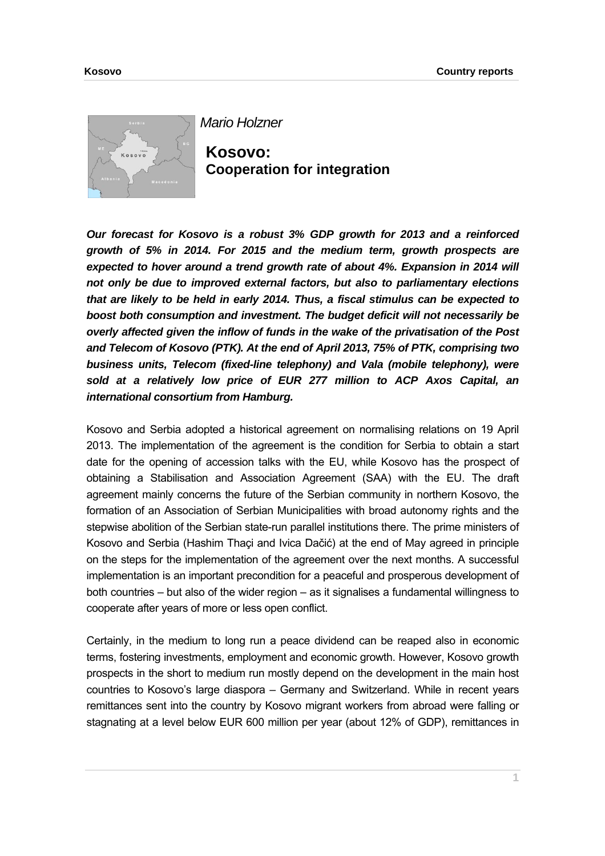

*Mario Holzner*

**Kosovo: Cooperation for integration** 

*Our forecast for Kosovo is a robust 3% GDP growth for 2013 and a reinforced growth of 5% in 2014. For 2015 and the medium term, growth prospects are*  expected to hover around a trend growth rate of about 4%. Expansion in 2014 will *not only be due to improved external factors, but also to parliamentary elections that are likely to be held in early 2014. Thus, a fiscal stimulus can be expected to boost both consumption and investment. The budget deficit will not necessarily be overly affected given the inflow of funds in the wake of the privatisation of the Post and Telecom of Kosovo (PTK). At the end of April 2013, 75% of PTK, comprising two business units, Telecom (fixed-line telephony) and Vala (mobile telephony), were sold at a relatively low price of EUR 277 million to ACP Axos Capital, an international consortium from Hamburg.* 

Kosovo and Serbia adopted a historical agreement on normalising relations on 19 April 2013. The implementation of the agreement is the condition for Serbia to obtain a start date for the opening of accession talks with the EU, while Kosovo has the prospect of obtaining a Stabilisation and Association Agreement (SAA) with the EU. The draft agreement mainly concerns the future of the Serbian community in northern Kosovo, the formation of an Association of Serbian Municipalities with broad autonomy rights and the stepwise abolition of the Serbian state-run parallel institutions there. The prime ministers of Kosovo and Serbia (Hashim Thaçi and Ivica Dačić) at the end of May agreed in principle on the steps for the implementation of the agreement over the next months. A successful implementation is an important precondition for a peaceful and prosperous development of both countries – but also of the wider region – as it signalises a fundamental willingness to cooperate after years of more or less open conflict.

Certainly, in the medium to long run a peace dividend can be reaped also in economic terms, fostering investments, employment and economic growth. However, Kosovo growth prospects in the short to medium run mostly depend on the development in the main host countries to Kosovo's large diaspora – Germany and Switzerland. While in recent years remittances sent into the country by Kosovo migrant workers from abroad were falling or stagnating at a level below EUR 600 million per year (about 12% of GDP), remittances in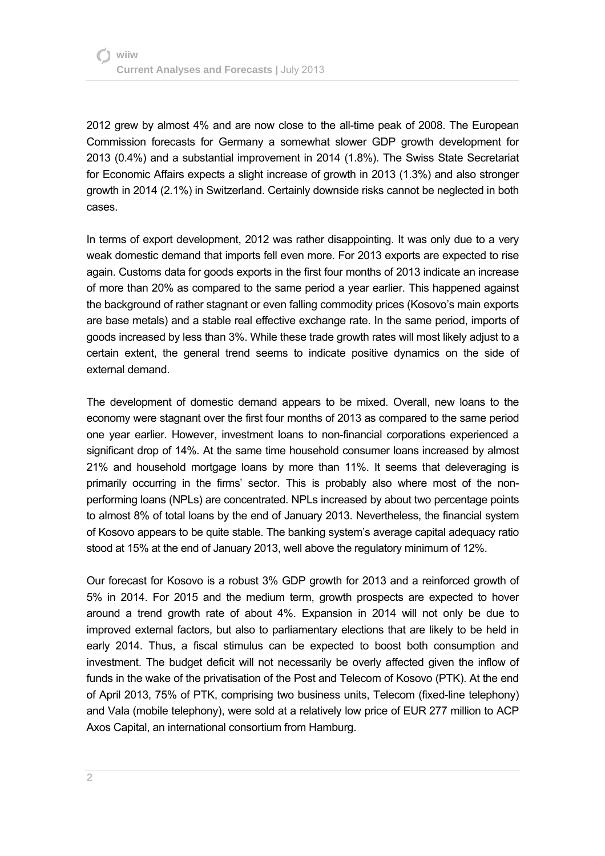2012 grew by almost 4% and are now close to the all-time peak of 2008. The European Commission forecasts for Germany a somewhat slower GDP growth development for 2013 (0.4%) and a substantial improvement in 2014 (1.8%). The Swiss State Secretariat for Economic Affairs expects a slight increase of growth in 2013 (1.3%) and also stronger growth in 2014 (2.1%) in Switzerland. Certainly downside risks cannot be neglected in both cases.

In terms of export development, 2012 was rather disappointing. It was only due to a very weak domestic demand that imports fell even more. For 2013 exports are expected to rise again. Customs data for goods exports in the first four months of 2013 indicate an increase of more than 20% as compared to the same period a year earlier. This happened against the background of rather stagnant or even falling commodity prices (Kosovo's main exports are base metals) and a stable real effective exchange rate. In the same period, imports of goods increased by less than 3%. While these trade growth rates will most likely adjust to a certain extent, the general trend seems to indicate positive dynamics on the side of external demand.

The development of domestic demand appears to be mixed. Overall, new loans to the economy were stagnant over the first four months of 2013 as compared to the same period one year earlier. However, investment loans to non-financial corporations experienced a significant drop of 14%. At the same time household consumer loans increased by almost 21% and household mortgage loans by more than 11%. It seems that deleveraging is primarily occurring in the firms' sector. This is probably also where most of the nonperforming loans (NPLs) are concentrated. NPLs increased by about two percentage points to almost 8% of total loans by the end of January 2013. Nevertheless, the financial system of Kosovo appears to be quite stable. The banking system's average capital adequacy ratio stood at 15% at the end of January 2013, well above the regulatory minimum of 12%.

Our forecast for Kosovo is a robust 3% GDP growth for 2013 and a reinforced growth of 5% in 2014. For 2015 and the medium term, growth prospects are expected to hover around a trend growth rate of about 4%. Expansion in 2014 will not only be due to improved external factors, but also to parliamentary elections that are likely to be held in early 2014. Thus, a fiscal stimulus can be expected to boost both consumption and investment. The budget deficit will not necessarily be overly affected given the inflow of funds in the wake of the privatisation of the Post and Telecom of Kosovo (PTK). At the end of April 2013, 75% of PTK, comprising two business units, Telecom (fixed-line telephony) and Vala (mobile telephony), were sold at a relatively low price of EUR 277 million to ACP Axos Capital, an international consortium from Hamburg.